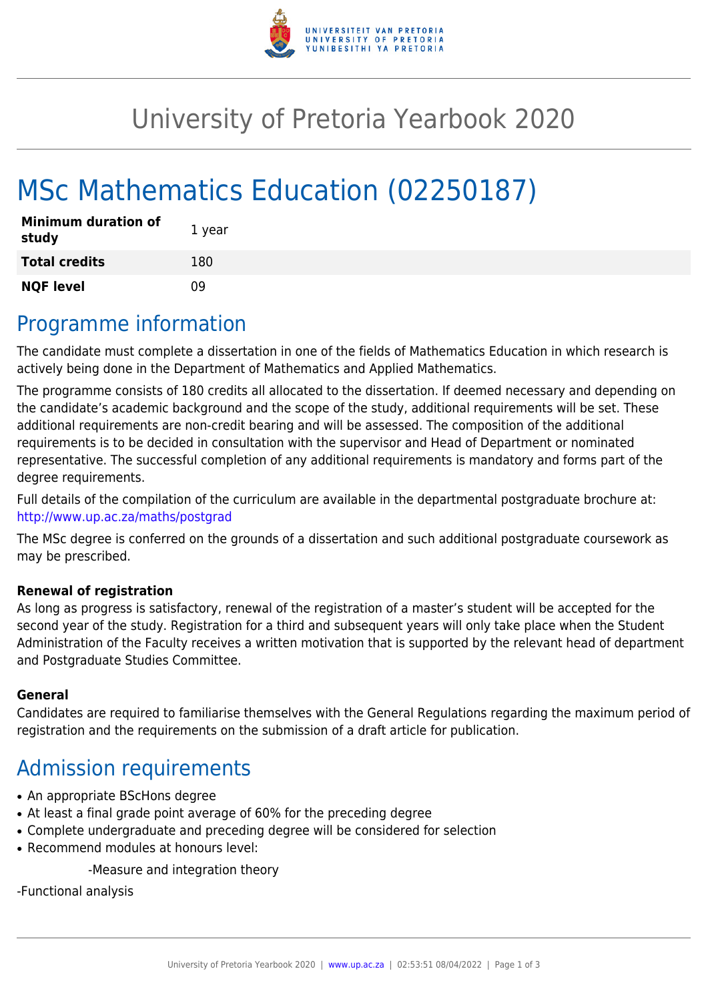

## University of Pretoria Yearbook 2020

# MSc Mathematics Education (02250187)

| <b>Minimum duration of</b><br>study | 1 year |
|-------------------------------------|--------|
| <b>Total credits</b>                | 180    |
| <b>NQF level</b>                    | n۹     |

### Programme information

The candidate must complete a dissertation in one of the fields of Mathematics Education in which research is actively being done in the Department of Mathematics and Applied Mathematics.

The programme consists of 180 credits all allocated to the dissertation. If deemed necessary and depending on the candidate's academic background and the scope of the study, additional requirements will be set. These additional requirements are non-credit bearing and will be assessed. The composition of the additional requirements is to be decided in consultation with the supervisor and Head of Department or nominated representative. The successful completion of any additional requirements is mandatory and forms part of the degree requirements.

Full details of the compilation of the curriculum are available in the departmental postgraduate brochure at: <http://www.up.ac.za/maths/postgrad>

The MSc degree is conferred on the grounds of a dissertation and such additional postgraduate coursework as may be prescribed.

#### **Renewal of registration**

As long as progress is satisfactory, renewal of the registration of a master's student will be accepted for the second year of the study. Registration for a third and subsequent years will only take place when the Student Administration of the Faculty receives a written motivation that is supported by the relevant head of department and Postgraduate Studies Committee.

#### **General**

Candidates are required to familiarise themselves with the General Regulations regarding the maximum period of registration and the requirements on the submission of a draft article for publication.

### Admission requirements

- An appropriate BScHons degree
- At least a final grade point average of 60% for the preceding degree
- Complete undergraduate and preceding degree will be considered for selection
- Recommend modules at honours level:

-Measure and integration theory

-Functional analysis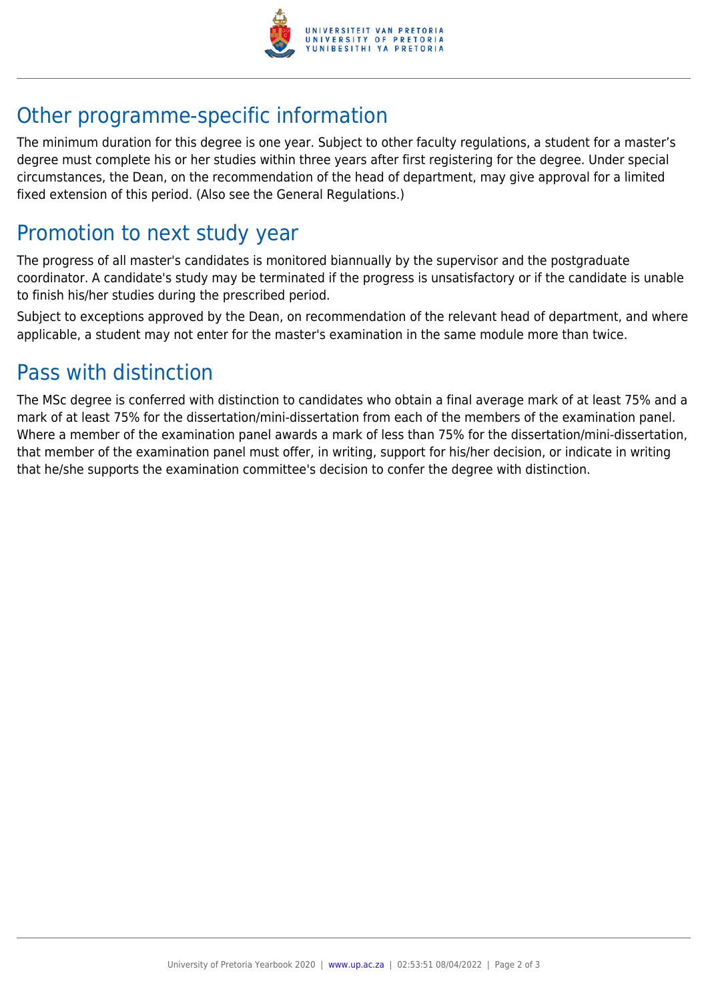

## Other programme-specific information

The minimum duration for this degree is one year. Subject to other faculty regulations, a student for a master's degree must complete his or her studies within three years after first registering for the degree. Under special circumstances, the Dean, on the recommendation of the head of department, may give approval for a limited fixed extension of this period. (Also see the General Regulations.)

### Promotion to next study year

The progress of all master's candidates is monitored biannually by the supervisor and the postgraduate coordinator. A candidate's study may be terminated if the progress is unsatisfactory or if the candidate is unable to finish his/her studies during the prescribed period.

Subject to exceptions approved by the Dean, on recommendation of the relevant head of department, and where applicable, a student may not enter for the master's examination in the same module more than twice.

### Pass with distinction

The MSc degree is conferred with distinction to candidates who obtain a final average mark of at least 75% and a mark of at least 75% for the dissertation/mini-dissertation from each of the members of the examination panel. Where a member of the examination panel awards a mark of less than 75% for the dissertation/mini-dissertation, that member of the examination panel must offer, in writing, support for his/her decision, or indicate in writing that he/she supports the examination committee's decision to confer the degree with distinction.